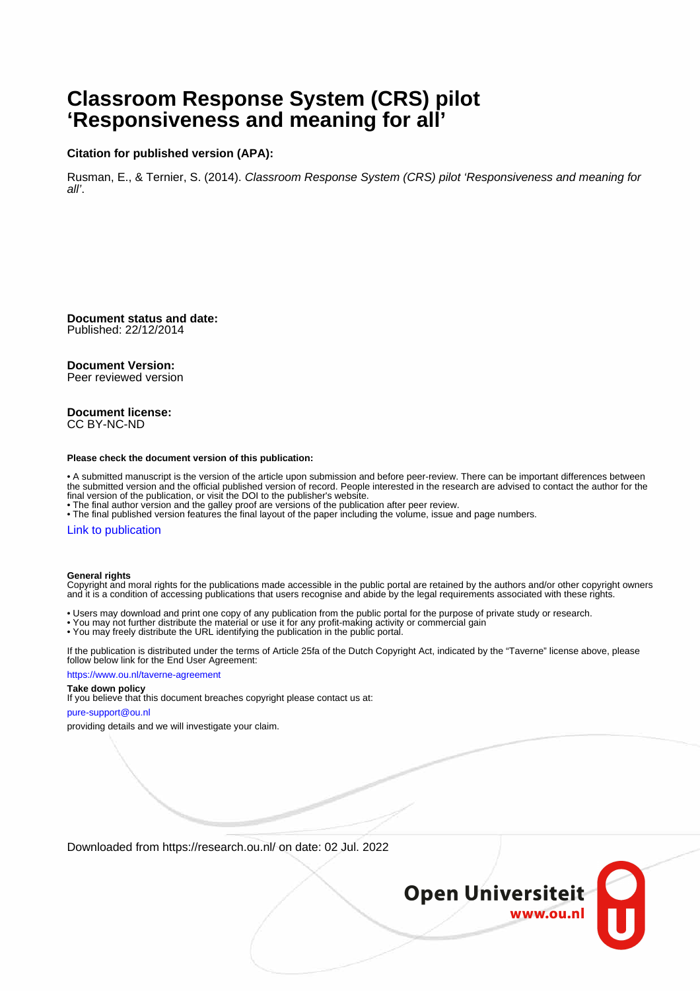# **Classroom Response System (CRS) pilot 'Responsiveness and meaning for all'**

#### **Citation for published version (APA):**

Rusman, E., & Ternier, S. (2014). Classroom Response System (CRS) pilot 'Responsiveness and meaning for all'.

**Document status and date:** Published: 22/12/2014

#### **Document Version:**

Peer reviewed version

#### **Document license:** CC BY-NC-ND

#### **Please check the document version of this publication:**

• A submitted manuscript is the version of the article upon submission and before peer-review. There can be important differences between the submitted version and the official published version of record. People interested in the research are advised to contact the author for the final version of the publication, or visit the DOI to the publisher's website.

• The final author version and the galley proof are versions of the publication after peer review.

• The final published version features the final layout of the paper including the volume, issue and page numbers.

#### [Link to publication](https://research.ou.nl/en/publications/5322d895-b0ba-4188-b01a-1de4efcea99c)

#### **General rights**

Copyright and moral rights for the publications made accessible in the public portal are retained by the authors and/or other copyright owners and it is a condition of accessing publications that users recognise and abide by the legal requirements associated with these rights.

- Users may download and print one copy of any publication from the public portal for the purpose of private study or research.
- You may not further distribute the material or use it for any profit-making activity or commercial gain
- You may freely distribute the URL identifying the publication in the public portal.

If the publication is distributed under the terms of Article 25fa of the Dutch Copyright Act, indicated by the "Taverne" license above, please follow below link for the End User Agreement:

#### https://www.ou.nl/taverne-agreement

#### **Take down policy**

If you believe that this document breaches copyright please contact us at:

#### pure-support@ou.nl

providing details and we will investigate your claim.

Downloaded from https://research.ou.nl/ on date: 02 Jul. 2022

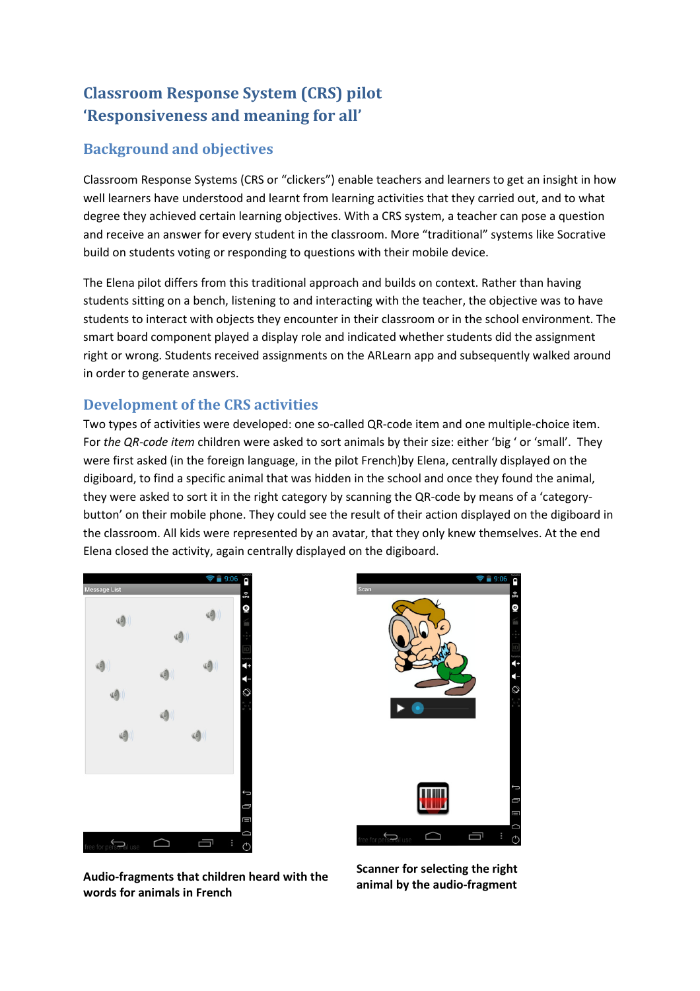# Classroom Response System (CRS) pilot 'Responsiveness and meaning for all'

# Background and objectives

Classroom Response Systems (CRS or "clickers") enable teachers and learners to get an insight in how well learners have understood and learnt from learning activities that they carried out, and to what degree they achieved certain learning objectives. With a CRS system, a teacher can pose a question and receive an answer for every student in the classroom. More "traditional" systems like Socrative build on students voting or responding to questions with their mobile device.

The Elena pilot differs from this traditional approach and builds on context. Rather than having students sitting on a bench, listening to and interacting with the teacher, the objective was to have students to interact with objects they encounter in their classroom or in the school environment. The smart board component played a display role and indicated whether students did the assignment right or wrong. Students received assignments on the ARLearn app and subsequently walked around in order to generate answers.

# Development of the CRS activities

Two types of activities were developed: one so-called QR-code item and one multiple-choice item. For the QR-code item children were asked to sort animals by their size: either 'big ' or 'small'. They were first asked (in the foreign language, in the pilot French)by Elena, centrally displayed on the digiboard, to find a specific animal that was hidden in the school and once they found the animal, they were asked to sort it in the right category by scanning the QR-code by means of a 'categorybutton' on their mobile phone. They could see the result of their action displayed on the digiboard in the classroom. All kids were represented by an avatar, that they only knew themselves. At the end Elena closed the activity, again centrally displayed on the digiboard.





Audio-fragments that children heard with the words for animals in French

Scanner for selecting the right animal by the audio-fragment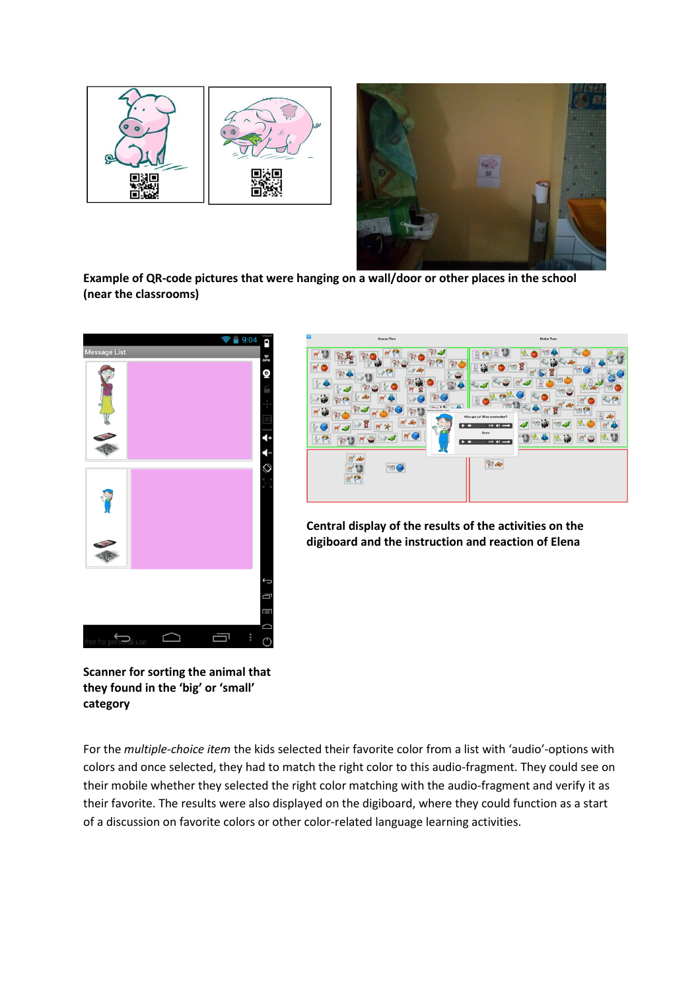



Example of QR-code pictures that were hanging on a wall/door or other places in the school (near the classrooms)





Central display of the results of the activities on the digiboard and the instruction and reaction of Elena

Scanner for sorting the animal that they found in the 'big' or 'small' category

For the multiple-choice item the kids selected their favorite color from a list with 'audio'-options with colors and once selected, they had to match the right color to this audio-fragment. They could see on their mobile whether they selected the right color matching with the audio-fragment and verify it as their favorite. The results were also displayed on the digiboard, where they could function as a start of a discussion on favorite colors or other color-related language learning activities.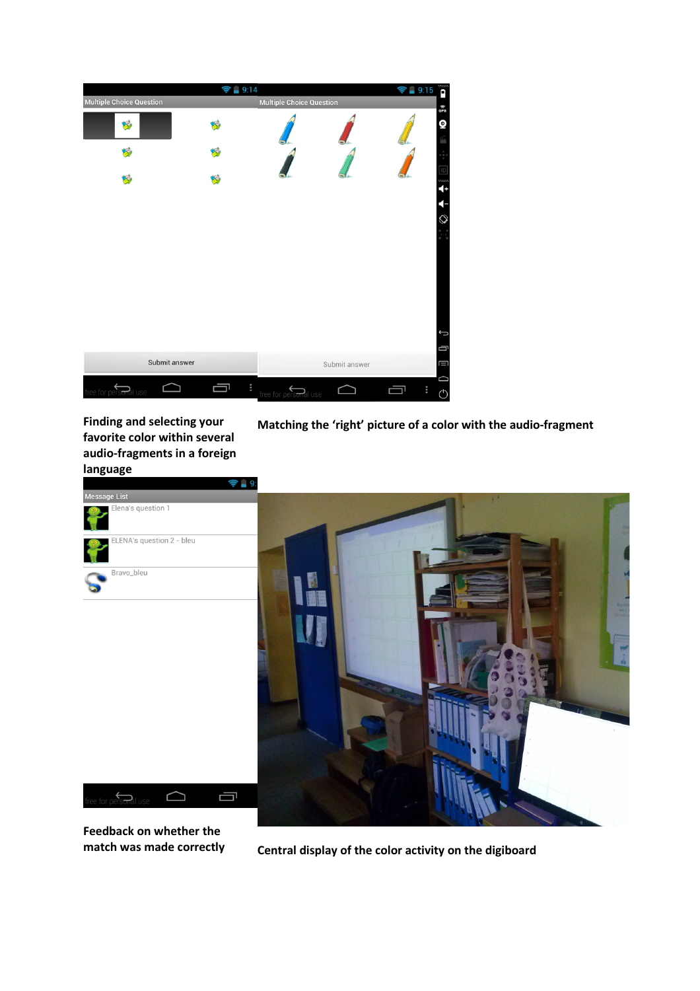|                                    | $\approx 9:14$ |                                 |               | $\approx 9.15$ | ñ            |
|------------------------------------|----------------|---------------------------------|---------------|----------------|--------------|
| <b>Multiple Choice Question</b>    |                | <b>Multiple Choice Question</b> |               |                | ିନ<br>GPS    |
| 妈                                  |                |                                 |               |                | Q            |
|                                    |                |                                 |               |                |              |
|                                    |                |                                 |               |                | ww<br>4      |
|                                    |                |                                 |               |                |              |
|                                    |                |                                 |               |                | $\heartsuit$ |
|                                    |                |                                 |               |                |              |
|                                    |                |                                 |               |                |              |
|                                    |                |                                 |               |                |              |
|                                    |                |                                 |               |                | Û            |
|                                    |                |                                 |               |                | Ū            |
| Submit answer                      |                |                                 | Submit answer |                | Ш            |
| free for pers <del>on</del> al use | ÷<br>ᆗ         | free for personal use           |               | ÷              | $\circ$      |

Finding and selecting your favorite color within several audio-fragments in a foreign language

Matching the 'right' picture of a color with the audio-fragment



Feedback on whether the

match was made correctly central display of the color activity on the digiboard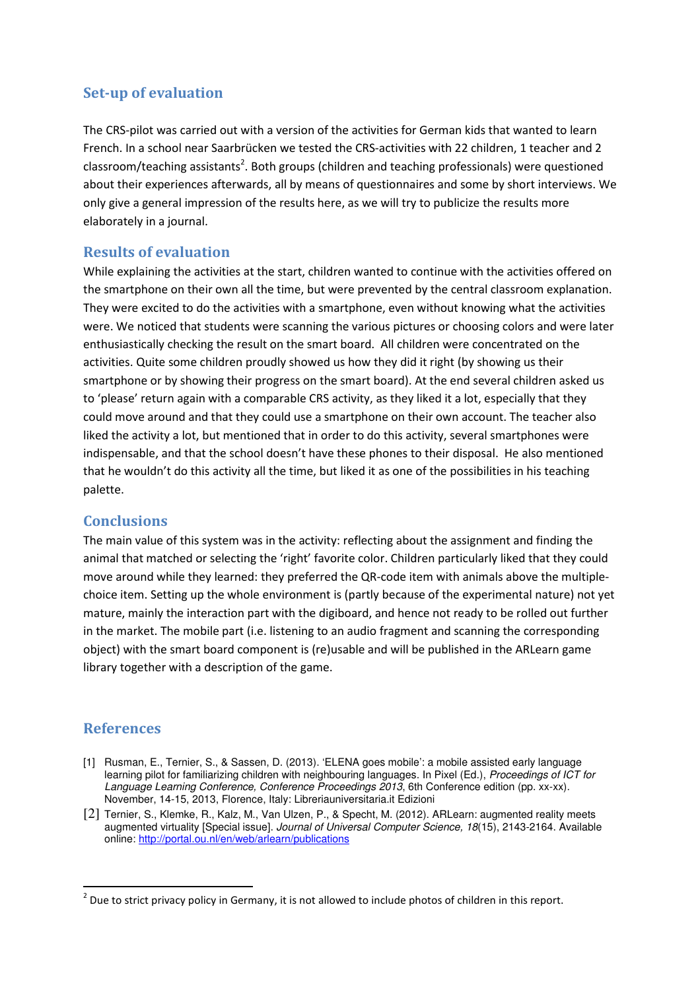## Set-up of evaluation

The CRS-pilot was carried out with a version of the activities for German kids that wanted to learn French. In a school near Saarbrücken we tested the CRS-activities with 22 children, 1 teacher and 2 classroom/teaching assistants<sup>2</sup>. Both groups (children and teaching professionals) were questioned about their experiences afterwards, all by means of questionnaires and some by short interviews. We only give a general impression of the results here, as we will try to publicize the results more elaborately in a journal.

### Results of evaluation

While explaining the activities at the start, children wanted to continue with the activities offered on the smartphone on their own all the time, but were prevented by the central classroom explanation. They were excited to do the activities with a smartphone, even without knowing what the activities were. We noticed that students were scanning the various pictures or choosing colors and were later enthusiastically checking the result on the smart board. All children were concentrated on the activities. Quite some children proudly showed us how they did it right (by showing us their smartphone or by showing their progress on the smart board). At the end several children asked us to 'please' return again with a comparable CRS activity, as they liked it a lot, especially that they could move around and that they could use a smartphone on their own account. The teacher also liked the activity a lot, but mentioned that in order to do this activity, several smartphones were indispensable, and that the school doesn't have these phones to their disposal. He also mentioned that he wouldn't do this activity all the time, but liked it as one of the possibilities in his teaching palette.

### **Conclusions**

The main value of this system was in the activity: reflecting about the assignment and finding the animal that matched or selecting the 'right' favorite color. Children particularly liked that they could move around while they learned: they preferred the QR-code item with animals above the multiplechoice item. Setting up the whole environment is (partly because of the experimental nature) not yet mature, mainly the interaction part with the digiboard, and hence not ready to be rolled out further in the market. The mobile part (i.e. listening to an audio fragment and scanning the corresponding object) with the smart board component is (re)usable and will be published in the ARLearn game library together with a description of the game.

### References

- [1] Rusman, E., Ternier, S., & Sassen, D. (2013). 'ELENA goes mobile': a mobile assisted early language learning pilot for familiarizing children with neighbouring languages. In Pixel (Ed.), Proceedings of ICT for Language Learning Conference, Conference Proceedings 2013, 6th Conference edition (pp. xx-xx). November, 14-15, 2013, Florence, Italy: Libreriauniversitaria.it Edizioni
- [2] Ternier, S., Klemke, R., Kalz, M., Van Ulzen, P., & Specht, M. (2012). ARLearn: augmented reality meets augmented virtuality [Special issue]. Journal of Universal Computer Science, 18(15), 2143-2164. Available online: http://portal.ou.nl/en/web/arlearn/publications

 $2$  Due to strict privacy policy in Germany, it is not allowed to include photos of children in this report.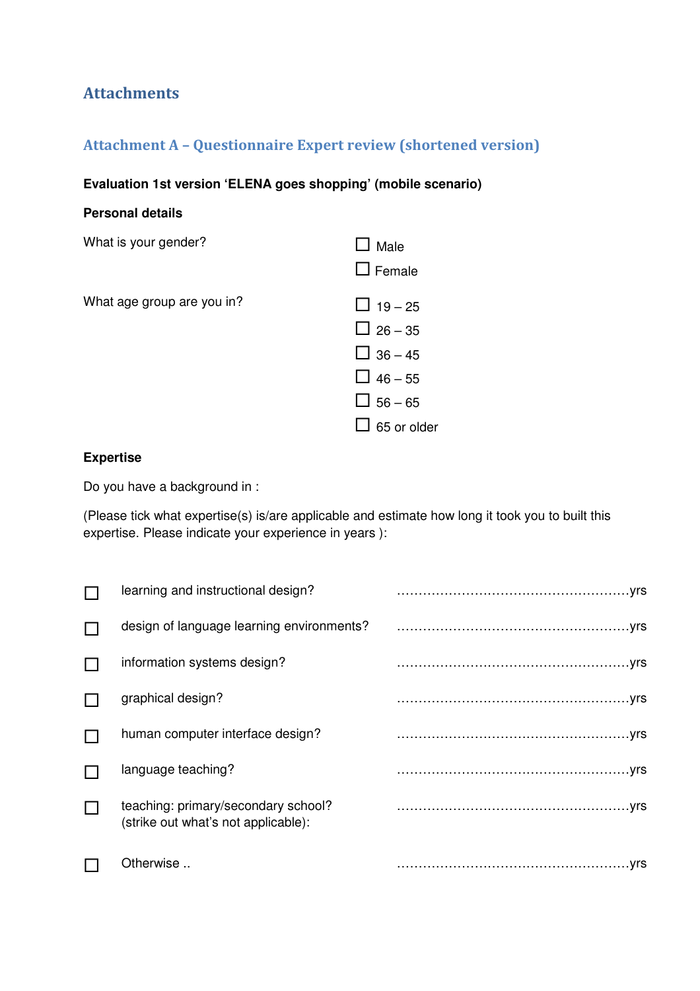# Attachments

# Attachment A – Questionnaire Expert review (shortened version)

## **Evaluation 1st version 'ELENA goes shopping' (mobile scenario)**

### **Personal details**

| What is your gender?       | Male<br>$\Box$ Female                                                                                 |
|----------------------------|-------------------------------------------------------------------------------------------------------|
| What age group are you in? | $\Box$ 19 – 25<br>$\Box$ 26 – 35<br>$\Box$ 36 – 45<br>$\Box$ 46 – 55<br>$\Box$ 56 – 65<br>55 or older |

### **Expertise**

Do you have a background in :

(Please tick what expertise(s) is/are applicable and estimate how long it took you to built this expertise. Please indicate your experience in years ):

|   | learning and instructional design?                                         |  |
|---|----------------------------------------------------------------------------|--|
|   | design of language learning environments?                                  |  |
|   | information systems design?                                                |  |
|   | graphical design?                                                          |  |
|   | human computer interface design?                                           |  |
|   | language teaching?                                                         |  |
| L | teaching: primary/secondary school?<br>(strike out what's not applicable): |  |
|   | Otherwise                                                                  |  |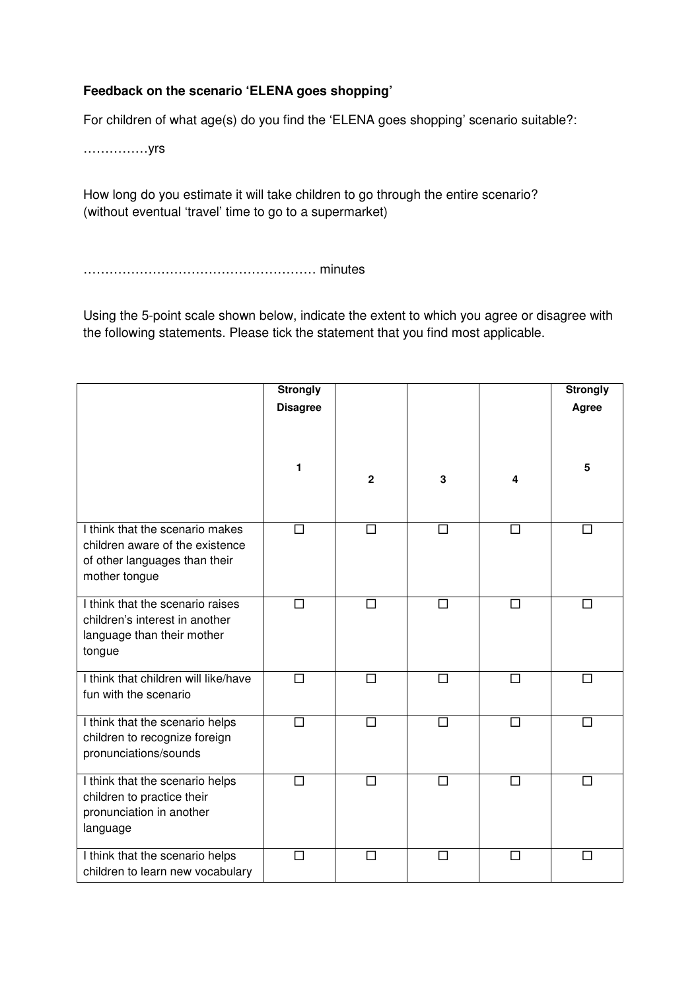### **Feedback on the scenario 'ELENA goes shopping'**

For children of what age(s) do you find the 'ELENA goes shopping' scenario suitable?:

……………yrs

How long do you estimate it will take children to go through the entire scenario? (without eventual 'travel' time to go to a supermarket)

……………………………………………… minutes

Using the 5-point scale shown below, indicate the extent to which you agree or disagree with the following statements. Please tick the statement that you find most applicable.

|                                                                                                                      | <b>Strongly</b><br><b>Disagree</b> |              |        |        | <b>Strongly</b><br>Agree |
|----------------------------------------------------------------------------------------------------------------------|------------------------------------|--------------|--------|--------|--------------------------|
|                                                                                                                      | 1                                  | $\mathbf{2}$ | 3      | 4      | 5                        |
| I think that the scenario makes<br>children aware of the existence<br>of other languages than their<br>mother tongue | $\Box$                             | $\Box$       | $\Box$ | $\Box$ | П                        |
| I think that the scenario raises<br>children's interest in another<br>language than their mother<br>tongue           | $\Box$                             | $\Box$       | $\Box$ | $\Box$ | П                        |
| I think that children will like/have<br>fun with the scenario                                                        | $\Box$                             | $\Box$       | $\Box$ | $\Box$ | $\Box$                   |
| I think that the scenario helps<br>children to recognize foreign<br>pronunciations/sounds                            | $\Box$                             | $\Box$       | $\Box$ | $\Box$ | $\Box$                   |
| I think that the scenario helps<br>children to practice their<br>pronunciation in another<br>language                | $\Box$                             | $\Box$       | $\Box$ | $\Box$ | П                        |
| I think that the scenario helps<br>children to learn new vocabulary                                                  | $\Box$                             | $\Box$       | $\Box$ | П      | П                        |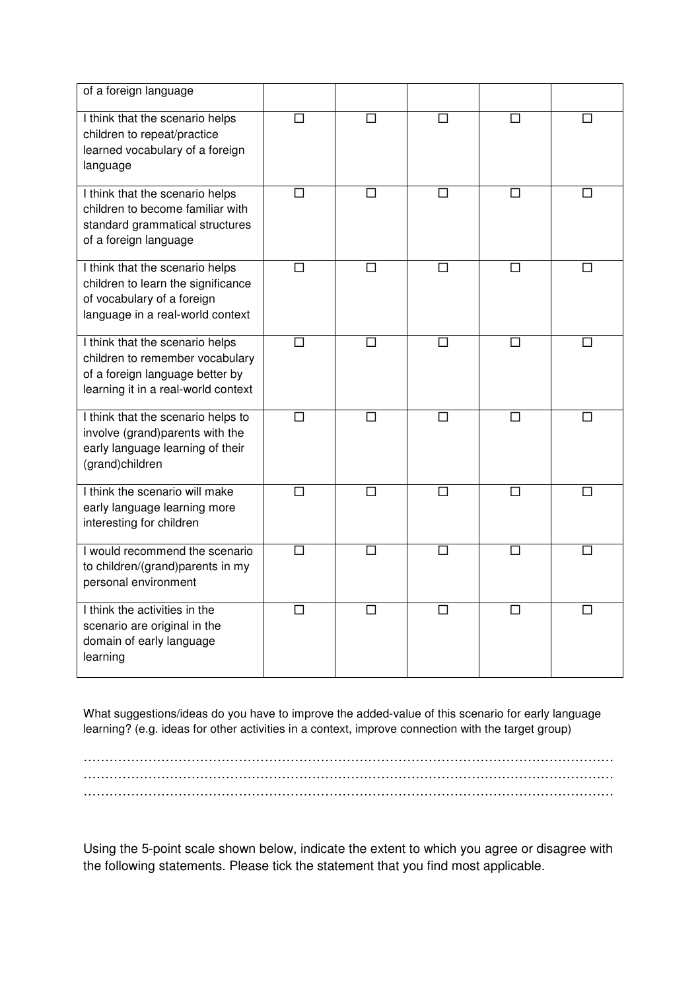| of a foreign language                                                                                                                        |        |                   |        |                   |        |
|----------------------------------------------------------------------------------------------------------------------------------------------|--------|-------------------|--------|-------------------|--------|
| I think that the scenario helps<br>children to repeat/practice<br>learned vocabulary of a foreign<br>language                                | $\Box$ | $\Box$            | П      | $\Box$            | П      |
| I think that the scenario helps<br>children to become familiar with<br>standard grammatical structures<br>of a foreign language              | $\Box$ | $\Box$            | □      | $\Box$            | □      |
| I think that the scenario helps<br>children to learn the significance<br>of vocabulary of a foreign<br>language in a real-world context      | $\Box$ | $\Box$            | $\Box$ | $\Box$            | П      |
| I think that the scenario helps<br>children to remember vocabulary<br>of a foreign language better by<br>learning it in a real-world context | $\Box$ | $\Box$            | П      | П                 | П      |
| I think that the scenario helps to<br>involve (grand)parents with the<br>early language learning of their<br>(grand)children                 | $\Box$ | П                 | П      | □                 | П      |
| I think the scenario will make<br>early language learning more<br>interesting for children                                                   | П      | $\overline{\Box}$ | □      | $\overline{\Box}$ | П      |
| I would recommend the scenario<br>to children/(grand)parents in my<br>personal environment                                                   | $\Box$ | $\Box$            | $\Box$ | □                 | $\Box$ |
| I think the activities in the<br>scenario are original in the<br>domain of early language<br>learning                                        | П      | $\Box$            | П      | П                 |        |

What suggestions/ideas do you have to improve the added-value of this scenario for early language learning? (e.g. ideas for other activities in a context, improve connection with the target group)

…………………………………………………………………………………………………………… …………………………………………………………………………………………………………… ……………………………………………………………………………………………………………

Using the 5-point scale shown below, indicate the extent to which you agree or disagree with the following statements. Please tick the statement that you find most applicable.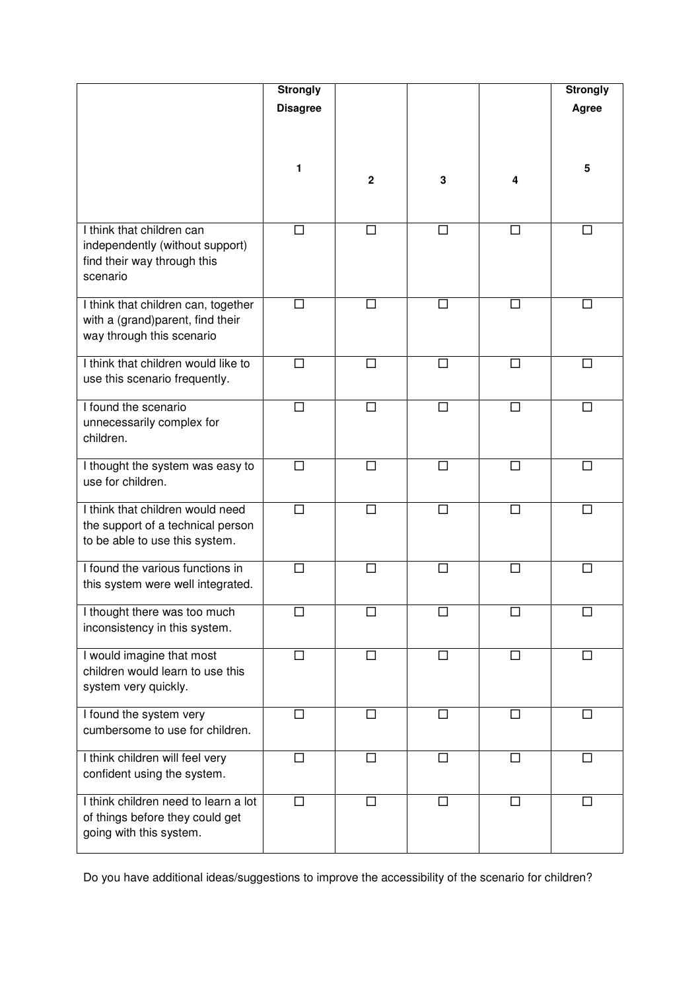|                                                                                                         | <b>Strongly</b> |             |        |        | <b>Strongly</b> |
|---------------------------------------------------------------------------------------------------------|-----------------|-------------|--------|--------|-----------------|
|                                                                                                         | <b>Disagree</b> |             |        |        | Agree           |
|                                                                                                         |                 |             |        |        |                 |
|                                                                                                         | 1               | $\mathbf 2$ | 3      | 4      | 5               |
| I think that children can<br>independently (without support)<br>find their way through this<br>scenario | □               | □           | $\Box$ | $\Box$ | $\Box$          |
| I think that children can, together<br>with a (grand)parent, find their<br>way through this scenario    | П               | □           | П      | □      | П               |
| I think that children would like to<br>use this scenario frequently.                                    | □               | □           | □      | $\Box$ | П               |
| I found the scenario<br>unnecessarily complex for<br>children.                                          | □               | □           | □      | □      | $\Box$          |
| I thought the system was easy to<br>use for children.                                                   | $\Box$          | $\Box$      | $\Box$ | $\Box$ | П               |
| I think that children would need<br>the support of a technical person<br>to be able to use this system. | П               | П           | $\Box$ | П      | $\Box$          |
| I found the various functions in<br>this system were well integrated.                                   | $\Box$          | $\Box$      | $\Box$ | $\Box$ | П               |
| I thought there was too much<br>inconsistency in this system.                                           |                 |             |        | □      |                 |
| I would imagine that most<br>children would learn to use this<br>system very quickly.                   | □               | □           | □      | □      | П               |
| I found the system very<br>cumbersome to use for children.                                              | $\Box$          | $\Box$      | $\Box$ | $\Box$ | $\Box$          |
| I think children will feel very<br>confident using the system.                                          | □               | □           | П      | $\Box$ | П               |
| I think children need to learn a lot<br>of things before they could get<br>going with this system.      | $\Box$          | $\Box$      | $\Box$ | $\Box$ | $\Box$          |

Do you have additional ideas/suggestions to improve the accessibility of the scenario for children?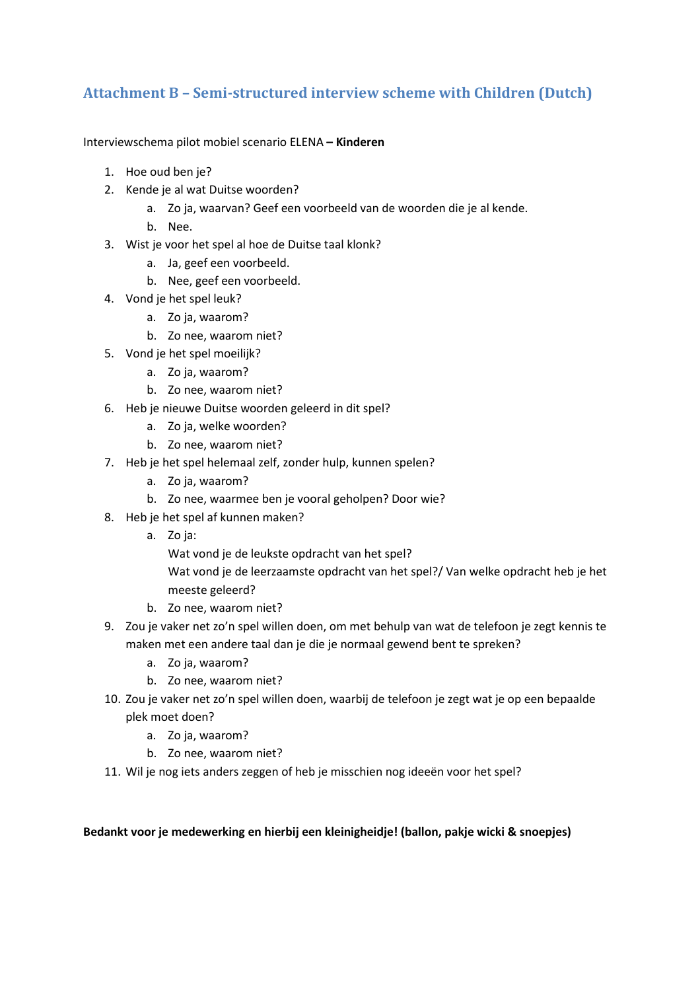# Attachment B – Semi-structured interview scheme with Children (Dutch)

Interviewschema pilot mobiel scenario ELENA – Kinderen

- 1. Hoe oud ben je?
- 2. Kende je al wat Duitse woorden?
	- a. Zo ja, waarvan? Geef een voorbeeld van de woorden die je al kende.
	- b. Nee.
- 3. Wist je voor het spel al hoe de Duitse taal klonk?
	- a. Ja, geef een voorbeeld.
	- b. Nee, geef een voorbeeld.
- 4. Vond je het spel leuk?
	- a. Zo ja, waarom?
	- b. Zo nee, waarom niet?
- 5. Vond je het spel moeilijk?
	- a. Zo ja, waarom?
	- b. Zo nee, waarom niet?
- 6. Heb je nieuwe Duitse woorden geleerd in dit spel?
	- a. Zo ja, welke woorden?
	- b. Zo nee, waarom niet?
- 7. Heb je het spel helemaal zelf, zonder hulp, kunnen spelen?
	- a. Zo ja, waarom?
	- b. Zo nee, waarmee ben je vooral geholpen? Door wie?
- 8. Heb je het spel af kunnen maken?
	- a. Zo ja:

Wat vond je de leukste opdracht van het spel?

Wat vond je de leerzaamste opdracht van het spel?/ Van welke opdracht heb je het meeste geleerd?

- b. Zo nee, waarom niet?
- 9. Zou je vaker net zo'n spel willen doen, om met behulp van wat de telefoon je zegt kennis te maken met een andere taal dan je die je normaal gewend bent te spreken?
	- a. Zo ja, waarom?
	- b. Zo nee, waarom niet?
- 10. Zou je vaker net zo'n spel willen doen, waarbij de telefoon je zegt wat je op een bepaalde plek moet doen?
	- a. Zo ja, waarom?
	- b. Zo nee, waarom niet?
- 11. Wil je nog iets anders zeggen of heb je misschien nog ideeën voor het spel?

### Bedankt voor je medewerking en hierbij een kleinigheidje! (ballon, pakje wicki & snoepjes)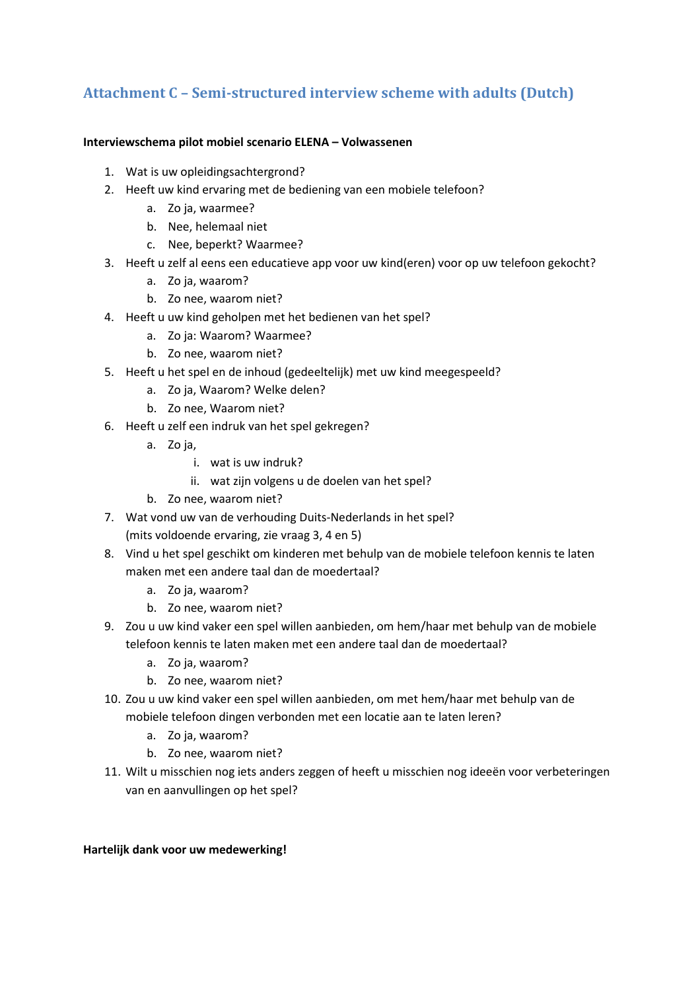# Attachment C – Semi-structured interview scheme with adults (Dutch)

### Interviewschema pilot mobiel scenario ELENA – Volwassenen

- 1. Wat is uw opleidingsachtergrond?
- 2. Heeft uw kind ervaring met de bediening van een mobiele telefoon?
	- a. Zo ja, waarmee?
	- b. Nee, helemaal niet
	- c. Nee, beperkt? Waarmee?
- 3. Heeft u zelf al eens een educatieve app voor uw kind(eren) voor op uw telefoon gekocht?
	- a. Zo ja, waarom?
	- b. Zo nee, waarom niet?
- 4. Heeft u uw kind geholpen met het bedienen van het spel?
	- a. Zo ja: Waarom? Waarmee?
	- b. Zo nee, waarom niet?
- 5. Heeft u het spel en de inhoud (gedeeltelijk) met uw kind meegespeeld?
	- a. Zo ja, Waarom? Welke delen?
	- b. Zo nee, Waarom niet?
- 6. Heeft u zelf een indruk van het spel gekregen?
	- a. Zo ja,
		- i. wat is uw indruk?
		- ii. wat zijn volgens u de doelen van het spel?
	- b. Zo nee, waarom niet?
- 7. Wat vond uw van de verhouding Duits-Nederlands in het spel? (mits voldoende ervaring, zie vraag 3, 4 en 5)
- 8. Vind u het spel geschikt om kinderen met behulp van de mobiele telefoon kennis te laten maken met een andere taal dan de moedertaal?
	- a. Zo ja, waarom?
	- b. Zo nee, waarom niet?
- 9. Zou u uw kind vaker een spel willen aanbieden, om hem/haar met behulp van de mobiele telefoon kennis te laten maken met een andere taal dan de moedertaal?
	- a. Zo ja, waarom?
	- b. Zo nee, waarom niet?
- 10. Zou u uw kind vaker een spel willen aanbieden, om met hem/haar met behulp van de mobiele telefoon dingen verbonden met een locatie aan te laten leren?
	- a. Zo ja, waarom?
	- b. Zo nee, waarom niet?
- 11. Wilt u misschien nog iets anders zeggen of heeft u misschien nog ideeën voor verbeteringen van en aanvullingen op het spel?

### Hartelijk dank voor uw medewerking!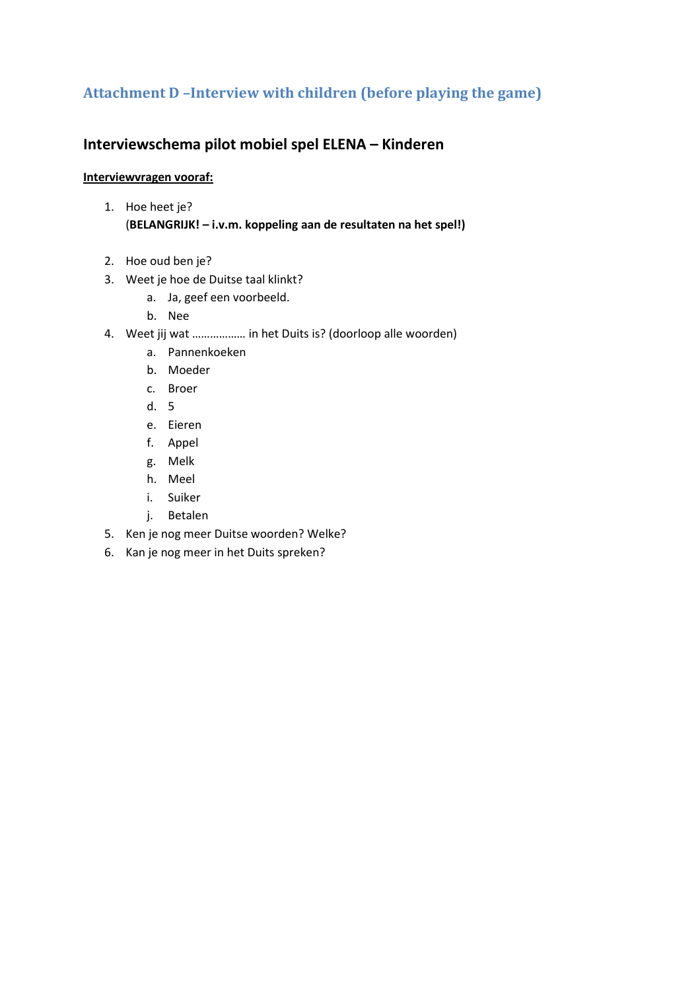# Attachment D –Interview with children (before playing the game)

## Interviewschema pilot mobiel spel ELENA – Kinderen

### Interviewvragen vooraf:

- 1. Hoe heet je? (BELANGRIJK! – i.v.m. koppeling aan de resultaten na het spel!)
- 2. Hoe oud ben je?
- 3. Weet je hoe de Duitse taal klinkt?
	- a. Ja, geef een voorbeeld.
	- b. Nee
- 4. Weet jij wat ……………… in het Duits is? (doorloop alle woorden)
	- a. Pannenkoeken
	- b. Moeder
	- c. Broer
	- d. 5
	- e. Eieren
	- f. Appel
	- g. Melk
	- h. Meel
	- i. Suiker
	- j. Betalen
- 5. Ken je nog meer Duitse woorden? Welke?
- 6. Kan je nog meer in het Duits spreken?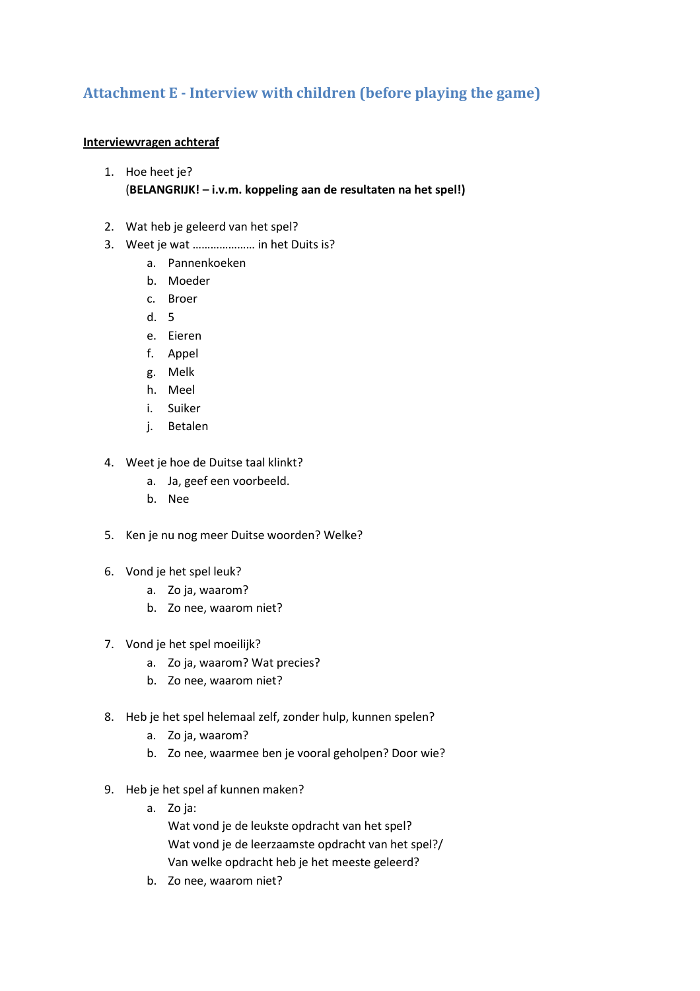# Attachment E - Interview with children (before playing the game)

### Interviewvragen achteraf

1. Hoe heet je?

### (BELANGRIJK! – i.v.m. koppeling aan de resultaten na het spel!)

- 2. Wat heb je geleerd van het spel?
- 3. Weet je wat ………………… in het Duits is?
	- a. Pannenkoeken
	- b. Moeder
	- c. Broer
	- d. 5
	- e. Eieren
	- f. Appel
	- g. Melk
	- h. Meel
	- i. Suiker
	- j. Betalen
- 4. Weet je hoe de Duitse taal klinkt?
	- a. Ja, geef een voorbeeld.
	- b. Nee
- 5. Ken je nu nog meer Duitse woorden? Welke?
- 6. Vond je het spel leuk?
	- a. Zo ja, waarom?
	- b. Zo nee, waarom niet?
- 7. Vond je het spel moeilijk?
	- a. Zo ja, waarom? Wat precies?
	- b. Zo nee, waarom niet?
- 8. Heb je het spel helemaal zelf, zonder hulp, kunnen spelen?
	- a. Zo ja, waarom?
	- b. Zo nee, waarmee ben je vooral geholpen? Door wie?
- 9. Heb je het spel af kunnen maken?
	- a. Zo ja:

Wat vond je de leukste opdracht van het spel? Wat vond je de leerzaamste opdracht van het spel?/ Van welke opdracht heb je het meeste geleerd?

b. Zo nee, waarom niet?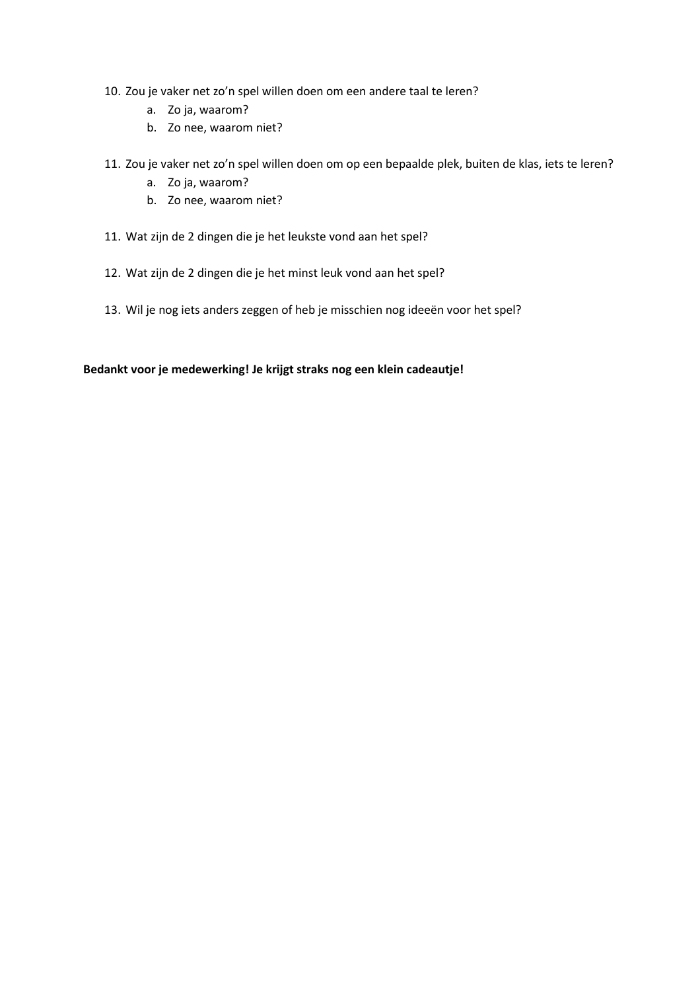- 10. Zou je vaker net zo'n spel willen doen om een andere taal te leren?
	- a. Zo ja, waarom?
	- b. Zo nee, waarom niet?
- 11. Zou je vaker net zo'n spel willen doen om op een bepaalde plek, buiten de klas, iets te leren?
	- a. Zo ja, waarom?
	- b. Zo nee, waarom niet?
- 11. Wat zijn de 2 dingen die je het leukste vond aan het spel?
- 12. Wat zijn de 2 dingen die je het minst leuk vond aan het spel?
- 13. Wil je nog iets anders zeggen of heb je misschien nog ideeën voor het spel?

### Bedankt voor je medewerking! Je krijgt straks nog een klein cadeautje!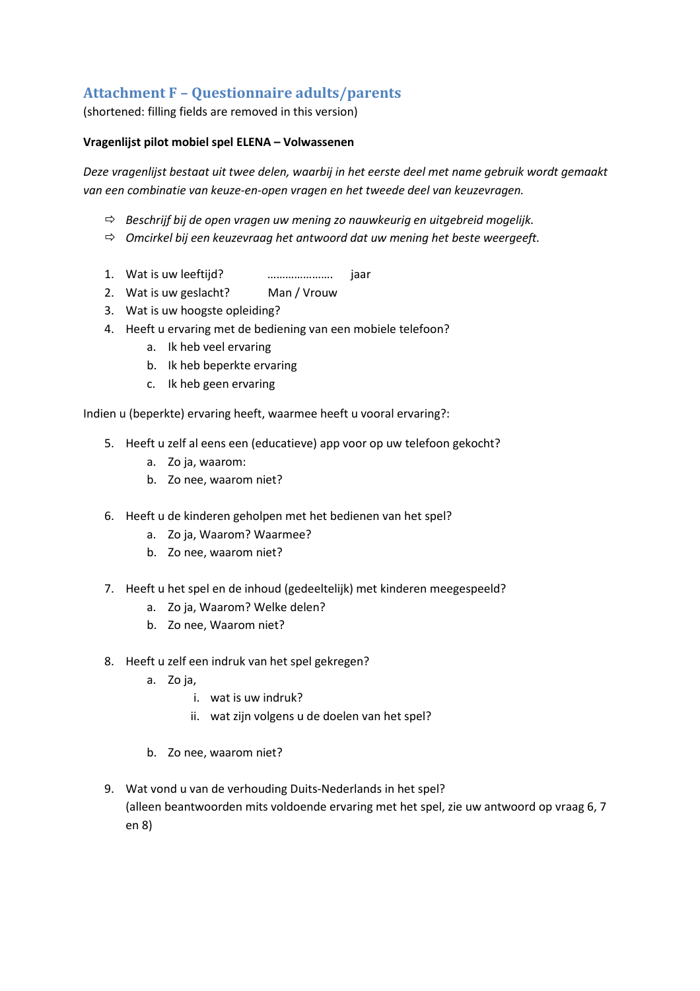# Attachment F – Questionnaire adults/parents

(shortened: filling fields are removed in this version)

### Vragenlijst pilot mobiel spel ELENA – Volwassenen

Deze vragenlijst bestaat uit twee delen, waarbij in het eerste deel met name gebruik wordt gemaakt van een combinatie van keuze-en-open vragen en het tweede deel van keuzevragen.

- $\Rightarrow$  Beschrijf bij de open vragen uw mening zo nauwkeurig en uitgebreid mogelijk.
- $\Rightarrow$  Omcirkel bij een keuzevraag het antwoord dat uw mening het beste weergeeft.
- 1. Wat is uw leeftijd? …………………. jaar
- 2. Wat is uw geslacht? Man / Vrouw
- 3. Wat is uw hoogste opleiding?
- 4. Heeft u ervaring met de bediening van een mobiele telefoon?
	- a. Ik heb veel ervaring
	- b. Ik heb beperkte ervaring
	- c. Ik heb geen ervaring

Indien u (beperkte) ervaring heeft, waarmee heeft u vooral ervaring?:

- 5. Heeft u zelf al eens een (educatieve) app voor op uw telefoon gekocht?
	- a. Zo ja, waarom:
	- b. Zo nee, waarom niet?
- 6. Heeft u de kinderen geholpen met het bedienen van het spel?
	- a. Zo ja, Waarom? Waarmee?
	- b. Zo nee, waarom niet?
- 7. Heeft u het spel en de inhoud (gedeeltelijk) met kinderen meegespeeld?
	- a. Zo ja, Waarom? Welke delen?
	- b. Zo nee, Waarom niet?
- 8. Heeft u zelf een indruk van het spel gekregen?
	- a. Zo ja,
		- i. wat is uw indruk?
		- ii. wat zijn volgens u de doelen van het spel?
	- b. Zo nee, waarom niet?
- 9. Wat vond u van de verhouding Duits-Nederlands in het spel? (alleen beantwoorden mits voldoende ervaring met het spel, zie uw antwoord op vraag 6, 7 en 8)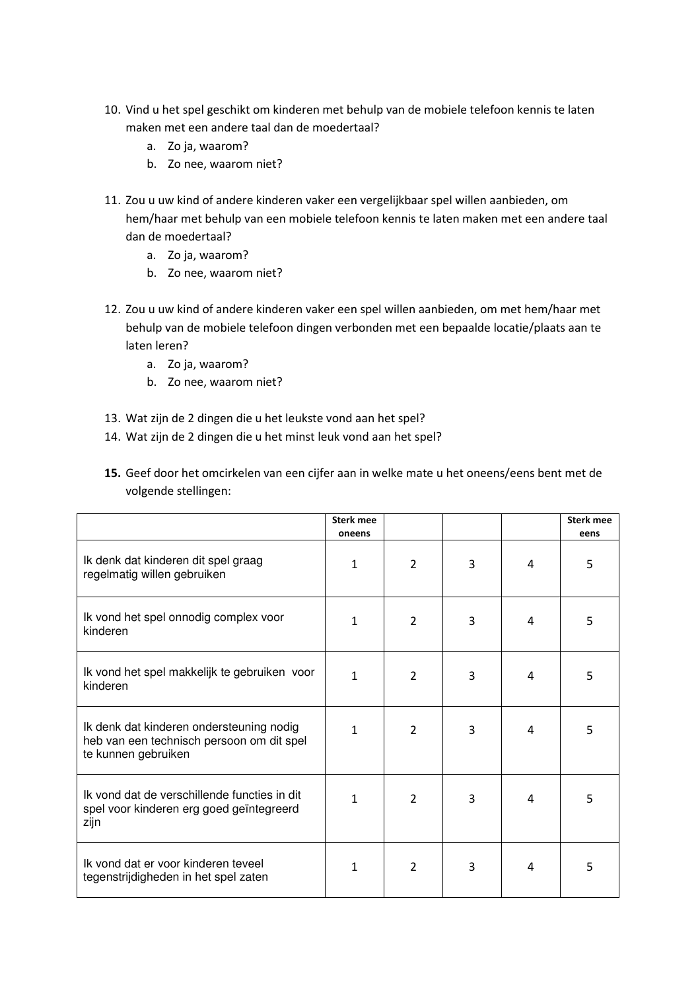- 10. Vind u het spel geschikt om kinderen met behulp van de mobiele telefoon kennis te laten maken met een andere taal dan de moedertaal?
	- a. Zo ja, waarom?
	- b. Zo nee, waarom niet?
- 11. Zou u uw kind of andere kinderen vaker een vergelijkbaar spel willen aanbieden, om hem/haar met behulp van een mobiele telefoon kennis te laten maken met een andere taal dan de moedertaal?
	- a. Zo ja, waarom?
	- b. Zo nee, waarom niet?
- 12. Zou u uw kind of andere kinderen vaker een spel willen aanbieden, om met hem/haar met behulp van de mobiele telefoon dingen verbonden met een bepaalde locatie/plaats aan te laten leren?
	- a. Zo ja, waarom?
	- b. Zo nee, waarom niet?
- 13. Wat zijn de 2 dingen die u het leukste vond aan het spel?
- 14. Wat zijn de 2 dingen die u het minst leuk vond aan het spel?

| 15. Geef door het omcirkelen van een cijfer aan in welke mate u het oneens/eens bent met de |
|---------------------------------------------------------------------------------------------|
| volgende stellingen:                                                                        |

|                                                                                                              | <b>Sterk mee</b><br>oneens |                |   |                | <b>Sterk mee</b><br>eens |
|--------------------------------------------------------------------------------------------------------------|----------------------------|----------------|---|----------------|--------------------------|
| Ik denk dat kinderen dit spel graag<br>regelmatig willen gebruiken                                           | 1                          | 2              | 3 | 4              | 5                        |
| Ik vond het spel onnodig complex voor<br>kinderen                                                            | 1                          | $\overline{2}$ | 3 | $\overline{4}$ | 5                        |
| Ik vond het spel makkelijk te gebruiken voor<br>kinderen                                                     | 1                          | $\overline{2}$ | 3 | $\overline{4}$ | 5                        |
| Ik denk dat kinderen ondersteuning nodig<br>heb van een technisch persoon om dit spel<br>te kunnen gebruiken | 1                          | $\overline{2}$ | 3 | 4              | 5                        |
| Ik vond dat de verschillende functies in dit<br>spel voor kinderen erg goed geïntegreerd<br>zijn             | 1                          | 2              | 3 | 4              | 5                        |
| Ik vond dat er voor kinderen teveel<br>tegenstrijdigheden in het spel zaten                                  | 1                          | $\overline{2}$ | 3 | 4              | 5                        |